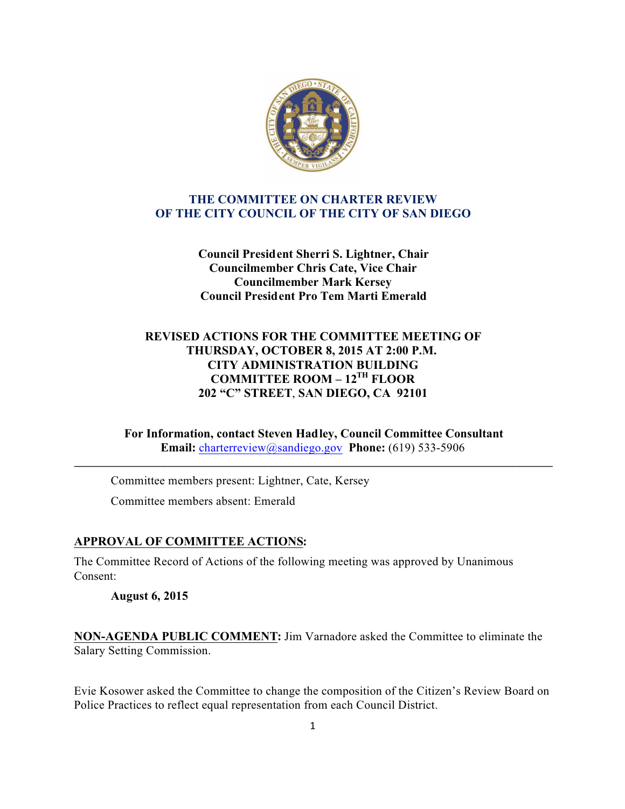

### **THE COMMITTEE ON CHARTER REVIEW OF THE CITY COUNCIL OF THE CITY OF SAN DIEGO**

**Council President Sherri S. Lightner, Chair Councilmember Chris Cate, Vice Chair Councilmember Mark Kersey Council President Pro Tem Marti Emerald**

## **REVISED ACTIONS FOR THE COMMITTEE MEETING OF THURSDAY, OCTOBER 8, 2015 AT 2:00 P.M. CITY ADMINISTRATION BUILDING COMMITTEE ROOM – 12TH FLOOR 202 "C" STREET**, **SAN DIEGO, CA 92101**

**For Information, contact Steven Hadley, Council Committee Consultant Email:** charterreview@sandiego.gov **Phone:** (619) 533-5906

**\_\_\_\_\_\_\_\_\_\_\_\_\_\_\_\_\_\_\_\_\_\_\_\_\_\_\_\_\_\_\_\_\_\_\_\_\_\_\_\_\_\_\_\_\_\_\_\_\_\_\_\_\_\_\_\_\_\_\_\_\_\_\_\_\_\_\_\_\_\_\_\_\_\_\_\_\_\_\_\_\_\_\_\_\_**

Committee members present: Lightner, Cate, Kersey Committee members absent: Emerald

## **APPROVAL OF COMMITTEE ACTIONS:**

The Committee Record of Actions of the following meeting was approved by Unanimous Consent:

**August 6, 2015**

**NON-AGENDA PUBLIC COMMENT:** Jim Varnadore asked the Committee to eliminate the Salary Setting Commission.

Evie Kosower asked the Committee to change the composition of the Citizen's Review Board on Police Practices to reflect equal representation from each Council District.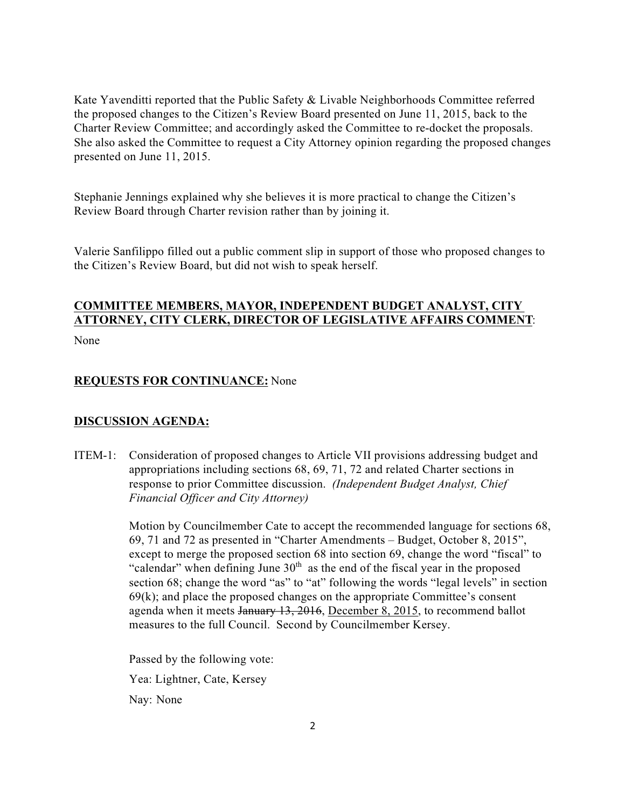Kate Yavenditti reported that the Public Safety & Livable Neighborhoods Committee referred the proposed changes to the Citizen's Review Board presented on June 11, 2015, back to the Charter Review Committee; and accordingly asked the Committee to re-docket the proposals. She also asked the Committee to request a City Attorney opinion regarding the proposed changes presented on June 11, 2015.

Stephanie Jennings explained why she believes it is more practical to change the Citizen's Review Board through Charter revision rather than by joining it.

Valerie Sanfilippo filled out a public comment slip in support of those who proposed changes to the Citizen's Review Board, but did not wish to speak herself.

# **COMMITTEE MEMBERS, MAYOR, INDEPENDENT BUDGET ANALYST, CITY ATTORNEY, CITY CLERK, DIRECTOR OF LEGISLATIVE AFFAIRS COMMENT**:

None

### **REQUESTS FOR CONTINUANCE:** None

#### **DISCUSSION AGENDA:**

ITEM-1: Consideration of proposed changes to Article VII provisions addressing budget and appropriations including sections 68, 69, 71, 72 and related Charter sections in response to prior Committee discussion. *(Independent Budget Analyst, Chief Financial Officer and City Attorney)*

> Motion by Councilmember Cate to accept the recommended language for sections 68, 69, 71 and 72 as presented in "Charter Amendments – Budget, October 8, 2015", except to merge the proposed section 68 into section 69, change the word "fiscal" to "calendar" when defining June  $30<sup>th</sup>$  as the end of the fiscal year in the proposed section 68; change the word "as" to "at" following the words "legal levels" in section  $69(k)$ ; and place the proposed changes on the appropriate Committee's consent agenda when it meets January 13, 2016, December 8, 2015, to recommend ballot measures to the full Council. Second by Councilmember Kersey.

 Passed by the following vote: Yea: Lightner, Cate, Kersey Nay: None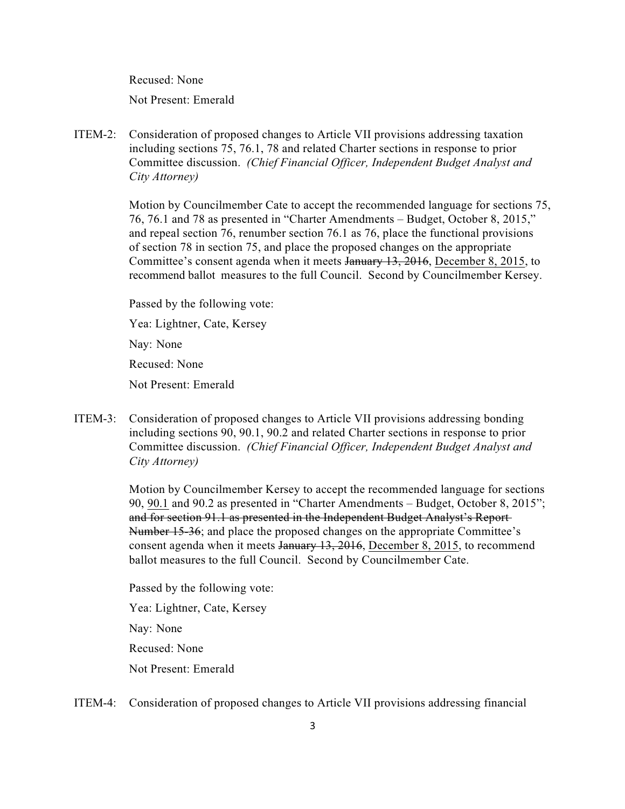Recused: None

Not Present: Emerald

ITEM-2: Consideration of proposed changes to Article VII provisions addressing taxation including sections 75, 76.1, 78 and related Charter sections in response to prior Committee discussion. *(Chief Financial Officer, Independent Budget Analyst and City Attorney)*

> Motion by Councilmember Cate to accept the recommended language for sections 75, 76, 76.1 and 78 as presented in "Charter Amendments – Budget, October 8, 2015," and repeal section 76, renumber section 76.1 as 76, place the functional provisions of section 78 in section 75, and place the proposed changes on the appropriate Committee's consent agenda when it meets January 13, 2016, December 8, 2015, to recommend ballot measures to the full Council. Second by Councilmember Kersey.

 Passed by the following vote: Yea: Lightner, Cate, Kersey

Nay: None

Recused: None

Not Present: Emerald

ITEM-3: Consideration of proposed changes to Article VII provisions addressing bonding including sections 90, 90.1, 90.2 and related Charter sections in response to prior Committee discussion. *(Chief Financial Officer, Independent Budget Analyst and City Attorney)*

> Motion by Councilmember Kersey to accept the recommended language for sections 90, 90.1 and 90.2 as presented in "Charter Amendments – Budget, October 8, 2015"; and for section 91.1 as presented in the Independent Budget Analyst's Report Number 15-36; and place the proposed changes on the appropriate Committee's consent agenda when it meets January 13, 2016, December 8, 2015, to recommend ballot measures to the full Council. Second by Councilmember Cate.

 Passed by the following vote: Yea: Lightner, Cate, Kersey Nay: None Recused: None Not Present: Emerald

ITEM-4: Consideration of proposed changes to Article VII provisions addressing financial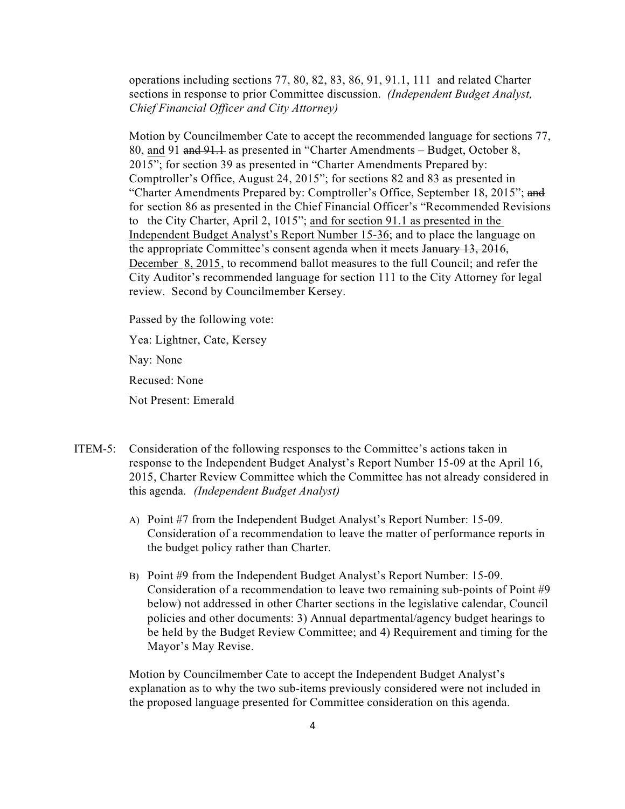operations including sections 77, 80, 82, 83, 86, 91, 91.1, 111 and related Charter sections in response to prior Committee discussion. *(Independent Budget Analyst, Chief Financial Officer and City Attorney)*

Motion by Councilmember Cate to accept the recommended language for sections 77, 80, and 91 and 91.1 as presented in "Charter Amendments – Budget, October 8, 2015"; for section 39 as presented in "Charter Amendments Prepared by: Comptroller's Office, August 24, 2015"; for sections 82 and 83 as presented in "Charter Amendments Prepared by: Comptroller's Office, September 18, 2015"; and for section 86 as presented in the Chief Financial Officer's "Recommended Revisions to the City Charter, April 2, 1015"; and for section 91.1 as presented in the Independent Budget Analyst's Report Number 15-36; and to place the language on the appropriate Committee's consent agenda when it meets January 13, 2016, December 8, 2015, to recommend ballot measures to the full Council; and refer the City Auditor's recommended language for section 111 to the City Attorney for legal review. Second by Councilmember Kersey.

 Passed by the following vote: Yea: Lightner, Cate, Kersey Nay: None Recused: None Not Present: Emerald

- ITEM-5: Consideration of the following responses to the Committee's actions taken in response to the Independent Budget Analyst's Report Number 15-09 at the April 16, 2015, Charter Review Committee which the Committee has not already considered in this agenda. *(Independent Budget Analyst)*
	- A) Point #7 from the Independent Budget Analyst's Report Number: 15-09. Consideration of a recommendation to leave the matter of performance reports in the budget policy rather than Charter.
	- B) Point #9 from the Independent Budget Analyst's Report Number: 15-09. Consideration of a recommendation to leave two remaining sub-points of Point #9 below) not addressed in other Charter sections in the legislative calendar, Council policies and other documents: 3) Annual departmental/agency budget hearings to be held by the Budget Review Committee; and 4) Requirement and timing for the Mayor's May Revise.

Motion by Councilmember Cate to accept the Independent Budget Analyst's explanation as to why the two sub-items previously considered were not included in the proposed language presented for Committee consideration on this agenda.